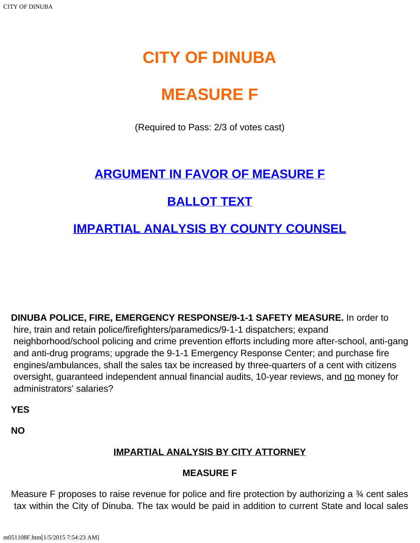# **CITY OF DINUBA**

# **MEASURE F**

(Required to Pass: 2/3 of votes cast)

## **[ARGUMENT IN FAVOR OF MEASURE F](#page-1-0)**

## **[BALLOT TEXT](#page-0-0)**

### **[IMPARTIAL ANALYSIS BY COUNTY COUNSEL](#page-0-1)**

<span id="page-0-0"></span>**DINUBA POLICE, FIRE, EMERGENCY RESPONSE/9-1-1 SAFETY MEASURE.** In order to

 hire, train and retain police/firefighters/paramedics/9-1-1 dispatchers; expand neighborhood/school policing and crime prevention efforts including more after-school, anti-gang and anti-drug programs; upgrade the 9-1-1 Emergency Response Center; and purchase fire engines/ambulances, shall the sales tax be increased by three-quarters of a cent with citizens oversight, guaranteed independent annual financial audits, 10-year reviews, and no money for administrators' salaries?

**YES**

<span id="page-0-1"></span>**NO**

#### **IMPARTIAL ANALYSIS BY CITY ATTORNEY**

#### **MEASURE F**

Measure F proposes to raise revenue for police and fire protection by authorizing a 34 cent sales tax within the City of Dinuba. The tax would be paid in addition to current State and local sales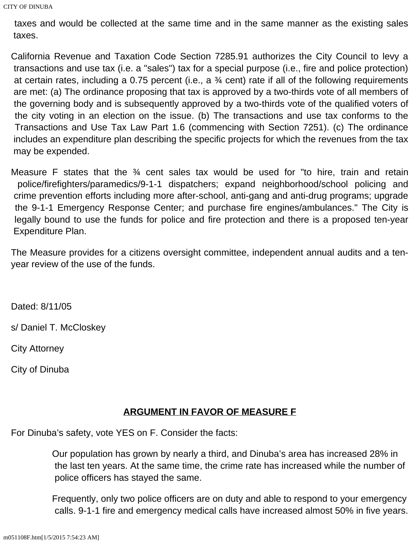taxes and would be collected at the same time and in the same manner as the existing sales taxes.

California Revenue and Taxation Code Section 7285.91 authorizes the City Council to levy a transactions and use tax (i.e. a "sales") tax for a special purpose (i.e., fire and police protection) at certain rates, including a 0.75 percent (i.e., a ¾ cent) rate if all of the following requirements are met: (a) The ordinance proposing that tax is approved by a two-thirds vote of all members of the governing body and is subsequently approved by a two-thirds vote of the qualified voters of the city voting in an election on the issue. (b) The transactions and use tax conforms to the Transactions and Use Tax Law Part 1.6 (commencing with Section 7251). (c) The ordinance includes an expenditure plan describing the specific projects for which the revenues from the tax may be expended.

Measure F states that the  $\frac{3}{4}$  cent sales tax would be used for "to hire, train and retain police/firefighters/paramedics/9-1-1 dispatchers; expand neighborhood/school policing and crime prevention efforts including more after-school, anti-gang and anti-drug programs; upgrade the 9-1-1 Emergency Response Center; and purchase fire engines/ambulances." The City is legally bound to use the funds for police and fire protection and there is a proposed ten-year Expenditure Plan.

The Measure provides for a citizens oversight committee, independent annual audits and a tenyear review of the use of the funds.

Dated: 8/11/05

s/ Daniel T. McCloskey

City Attorney

City of Dinuba

#### **ARGUMENT IN FAVOR OF MEASURE F**

<span id="page-1-0"></span>For Dinuba's safety, vote YES on F. Consider the facts:

Our population has grown by nearly a third, and Dinuba's area has increased 28% in the last ten years. At the same time, the crime rate has increased while the number of police officers has stayed the same.

Frequently, only two police officers are on duty and able to respond to your emergency calls. 9-1-1 fire and emergency medical calls have increased almost 50% in five years.